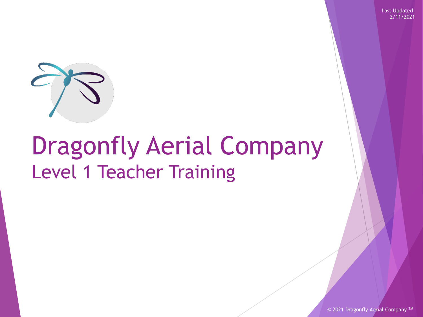Last Updated: 2/11/2021



## Dragonfly Aerial Company Level 1 Teacher Training

© 2021 Dragonfly Aerial Company<sup>TM</sup>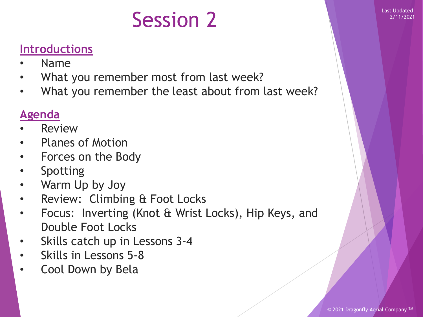### Session 2 Last Updated:

### **Introductions**

- Name
- What you remember most from last week?
- What you remember the least about from last week?

### **Agenda**

- **Review**
- Planes of Motion
- Forces on the Body
- **Spotting**
- Warm Up by Joy
- Review: Climbing & Foot Locks
- Focus: Inverting (Knot & Wrist Locks), Hip Keys, and Double Foot Locks
- Skills catch up in Lessons 3-4
- Skills in Lessons 5-8
- Cool Down by Bela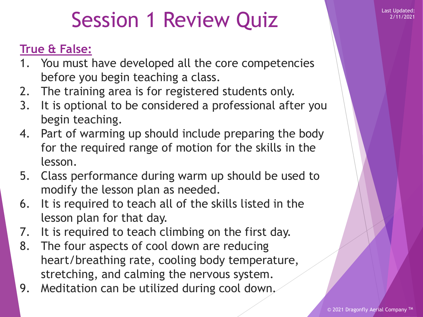### Session 1 Review Quiz New Prince New York 1 2/11/2021

#### **True & False:**

- 1. You must have developed all the core competencies before you begin teaching a class.
- 2. The training area is for registered students only.
- 3. It is optional to be considered a professional after you begin teaching.
- 4. Part of warming up should include preparing the body for the required range of motion for the skills in the lesson.
- 5. Class performance during warm up should be used to modify the lesson plan as needed.
- 6. It is required to teach all of the skills listed in the lesson plan for that day.
- 7. It is required to teach climbing on the first day.
- 8. The four aspects of cool down are reducing heart/breathing rate, cooling body temperature, stretching, and calming the nervous system.
- 9. Meditation can be utilized during cool down.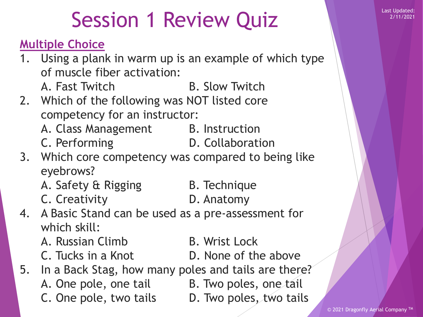## Session 1 Review Quiz **Review Session 1 Review Auril** Last Updated:

#### **Multiple Choice**

- 1. Using a plank in warm up is an example of which type of muscle fiber activation:
	- A. Fast Twitch B. Slow Twitch
- 2. Which of the following was NOT listed core competency for an instructor:
	- A. Class Management B. Instruction
	- C. Performing D. Collaboration
- 
- 3. Which core competency was compared to being like eyebrows?
	- A. Safety & Rigging B. Technique
- - C. Creativity **D. Anatomy**
- 4. A Basic Stand can be used as a pre-assessment for which skill:
	- A. Russian Climb B. Wrist Lock
	-
- 
- C. Tucks in a Knot **D.** None of the above
- 5. In a Back Stag, how many poles and tails are there?
	-
	- A. One pole, one tail B. Two poles, one tail
	- C. One pole, two tails D. Two poles, two tails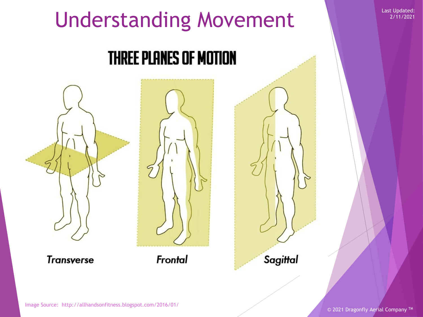# Understanding Movement

### **THREE PLANES OF MOTION**



**Transverse** 



Frontal

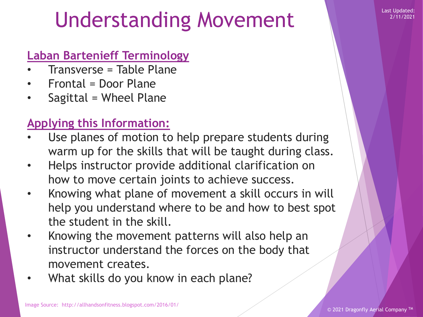### Understanding Movement

#### **Laban Bartenieff Terminology**

- Transverse = Table Plane
- Frontal = Door Plane
- Sagittal = Wheel Plane

### **Applying this Information:**

- Use planes of motion to help prepare students during warm up for the skills that will be taught during class.
- Helps instructor provide additional clarification on how to move certain joints to achieve success.
- Knowing what plane of movement a skill occurs in will help you understand where to be and how to best spot the student in the skill.
- Knowing the movement patterns will also help an instructor understand the forces on the body that movement creates.
- What skills do you know in each plane?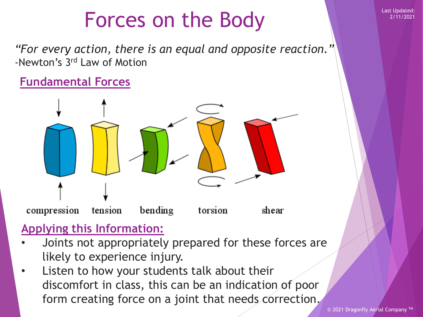### Forces on the Body Elast Updated:

*"For every action, there is an equal and opposite reaction."* -Newton's 3rd Law of Motion

#### **Fundamental Forces**



#### **Applying this Information:**

- Joints not appropriately prepared for these forces are likely to experience injury.
- Listen to how your students talk about their discomfort in class, this can be an indication of poor form creating force on a joint that needs correction.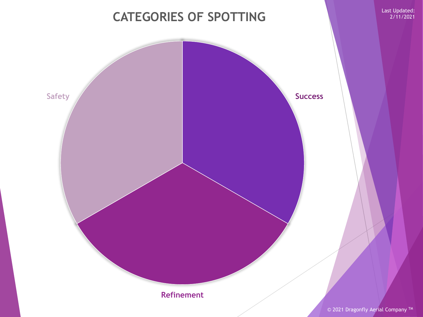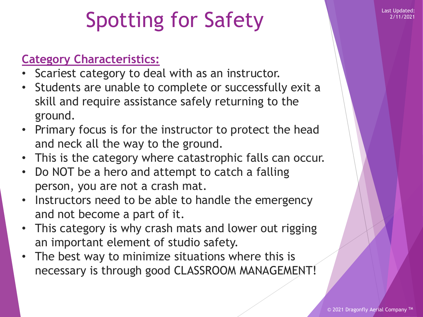## Spotting for Safety

#### **Category Characteristics:**

- Scariest category to deal with as an instructor.
- Students are unable to complete or successfully exit a skill and require assistance safely returning to the ground.
- Primary focus is for the instructor to protect the head and neck all the way to the ground.
- This is the category where catastrophic falls can occur.
- Do NOT be a hero and attempt to catch a falling person, you are not a crash mat.
- Instructors need to be able to handle the emergency and not become a part of it.
- This category is why crash mats and lower out rigging an important element of studio safety.
- The best way to minimize situations where this is necessary is through good CLASSROOM MANAGEMENT!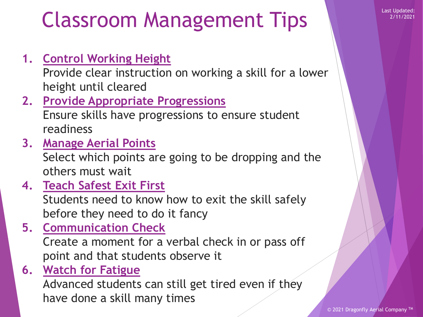### Classroom Management Tips

**1. Control Working Height**

Provide clear instruction on working a skill for a lower height until cleared

- **2. Provide Appropriate Progressions** Ensure skills have progressions to ensure student readiness
- **3. Manage Aerial Points**

Select which points are going to be dropping and the others must wait

**4. Teach Safest Exit First**

Students need to know how to exit the skill safely before they need to do it fancy

**5. Communication Check**

Create a moment for a verbal check in or pass off point and that students observe it

**6. Watch for Fatigue**

Advanced students can still get tired even if they have done a skill many times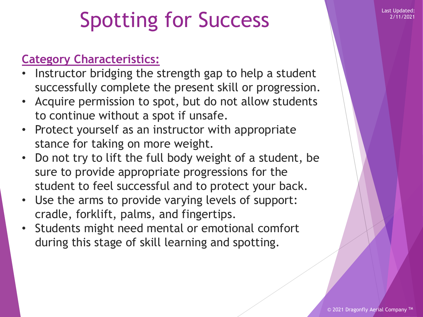## Spotting for Success

#### **Category Characteristics:**

- Instructor bridging the strength gap to help a student successfully complete the present skill or progression.
- Acquire permission to spot, but do not allow students to continue without a spot if unsafe.
- Protect yourself as an instructor with appropriate stance for taking on more weight.
- Do not try to lift the full body weight of a student, be sure to provide appropriate progressions for the student to feel successful and to protect your back.
- Use the arms to provide varying levels of support: cradle, forklift, palms, and fingertips.
- Students might need mental or emotional comfort during this stage of skill learning and spotting.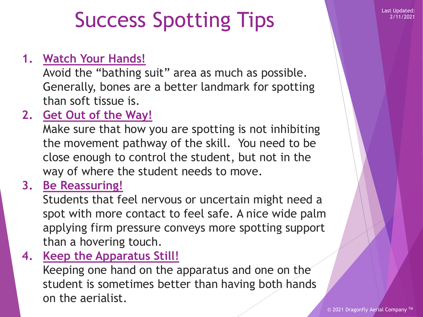### Success Spotting Tips

#### **1. Watch Your Hands!**

Avoid the "bathing suit" area as much as possible. Generally, bones are a better landmark for spotting than soft tissue is.

### **2. Get Out of the Way!**

Make sure that how you are spotting is not inhibiting the movement pathway of the skill. You need to be close enough to control the student, but not in the way of where the student needs to move.

#### **3. Be Reassuring!**

Students that feel nervous or uncertain might need a spot with more contact to feel safe. A nice wide palm applying firm pressure conveys more spotting support than a hovering touch.

**4. Keep the Apparatus Still!**

Keeping one hand on the apparatus and one on the student is sometimes better than having both hands on the aerialist.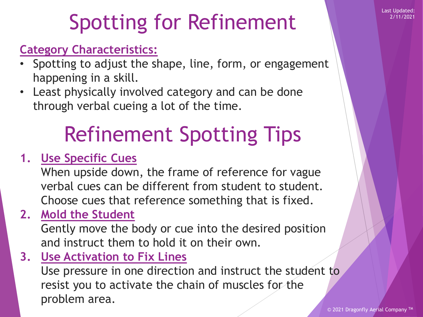Last Updated: 2/11/2021

## Spotting for Refinement

### **Category Characteristics:**

- Spotting to adjust the shape, line, form, or engagement happening in a skill.
- Least physically involved category and can be done through verbal cueing a lot of the time.

## Refinement Spotting Tips

### **1. Use Specific Cues**

When upside down, the frame of reference for vague verbal cues can be different from student to student. Choose cues that reference something that is fixed.

**2. Mold the Student**

Gently move the body or cue into the desired position and instruct them to hold it on their own.

**3. Use Activation to Fix Lines**

Use pressure in one direction and instruct the student to resist you to activate the chain of muscles for the problem area.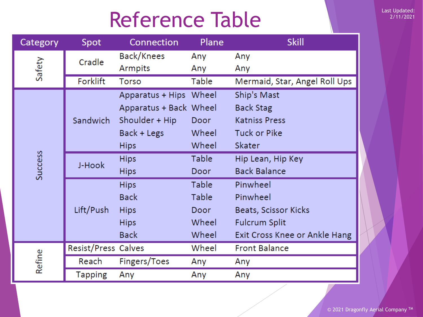## Reference Table

| Category | Spot                | Connection             | Plane | <b>Skill</b>                  |
|----------|---------------------|------------------------|-------|-------------------------------|
| Safety   | Cradle              | Back/Knees             | Any   | Any                           |
|          |                     | Armpits                | Any   | Any                           |
|          | Forklift            | <b>Torso</b>           | Table | Mermaid, Star, Angel Roll Ups |
| Success  | Sandwich            | Apparatus + Hips Wheel |       | Ship's Mast                   |
|          |                     | Apparatus + Back Wheel |       | <b>Back Stag</b>              |
|          |                     | Shoulder + Hip         | Door  | <b>Katniss Press</b>          |
|          |                     | Back + Legs            | Wheel | <b>Tuck or Pike</b>           |
|          |                     | <b>Hips</b>            | Wheel | Skater                        |
|          | J-Hook              | <b>Hips</b>            | Table | Hip Lean, Hip Key             |
|          |                     | <b>Hips</b>            | Door  | <b>Back Balance</b>           |
|          | Lift/Push           | <b>Hips</b>            | Table | Pinwheel                      |
|          |                     | <b>Back</b>            | Table | Pinwheel                      |
|          |                     | <b>Hips</b>            | Door  | Beats, Scissor Kicks          |
|          |                     | <b>Hips</b>            | Wheel | <b>Fulcrum Split</b>          |
|          |                     | <b>Back</b>            | Wheel | Exit Cross Knee or Ankle Hang |
| Refine   | Resist/Press Calves |                        | Wheel | <b>Front Balance</b>          |
|          | Reach               | Fingers/Toes           | Any   | Any                           |
|          | <b>Tapping</b>      | Any                    | Any   | Any                           |